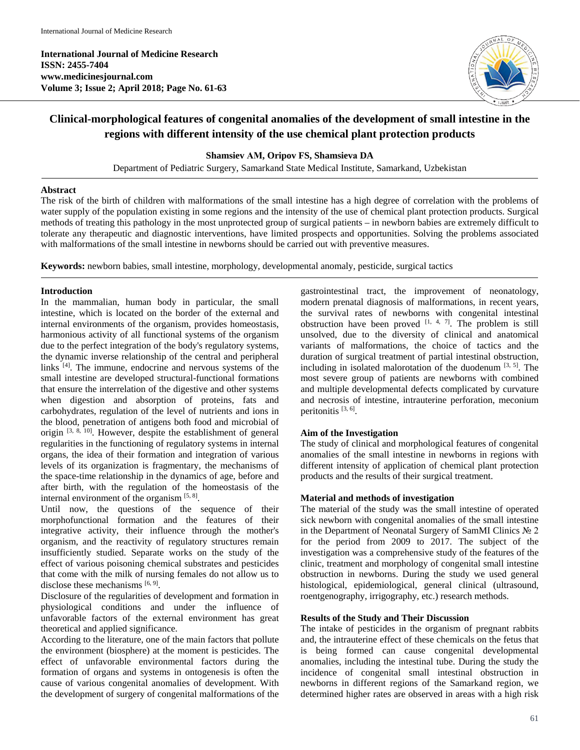**International Journal of Medicine Research ISSN: 2455-7404 www.medicinesjournal.com Volume 3; Issue 2; April 2018; Page No. 61-63**



# **Clinical-morphological features of congenital anomalies of the development of small intestine in the regions with different intensity of the use chemical plant protection products**

## **Shamsiev АМ, Oripov FS, Shamsievа DA**

Department of Pediatric Surgery, Samarkand State Medical Institute, Samarkand, Uzbekistan

#### **Abstract**

The risk of the birth of children with malformations of the small intestine has a high degree of correlation with the problems of water supply of the population existing in some regions and the intensity of the use of chemical plant protection products. Surgical methods of treating this pathology in the most unprotected group of surgical patients – in newborn babies are extremely difficult to tolerate any therapeutic and diagnostic interventions, have limited prospects and opportunities. Solving the problems associated with malformations of the small intestine in newborns should be carried out with preventive measures.

**Keywords:** newborn babies, small intestine, morphology, developmental anomaly, pesticide, surgical tactics

## **Introduction**

In the mammalian, human body in particular, the small intestine, which is located on the border of the external and internal environments of the organism, provides homeostasis, harmonious activity of all functional systems of the organism due to the perfect integration of the body's regulatory systems, the dynamic inverse relationship of the central and peripheral links  $[4]$ . The immune, endocrine and nervous systems of the small intestine are developed structural-functional formations that ensure the interrelation of the digestive and other systems when digestion and absorption of proteins, fats and carbohydrates, regulation of the level of nutrients and ions in the blood, penetration of antigens both food and microbial of origin  $[3, 8, 10]$ . However, despite the establishment of general regularities in the functioning of regulatory systems in internal organs, the idea of their formation and integration of various levels of its organization is fragmentary, the mechanisms of the space-time relationship in the dynamics of age, before and after birth, with the regulation of the homeostasis of the internal environment of the organism  $[5, 8]$ .

Until now, the questions of the sequence of their morphofunctional formation and the features of their integrative activity, their influence through the mother's organism, and the reactivity of regulatory structures remain insufficiently studied. Separate works on the study of the effect of various poisoning chemical substrates and pesticides that come with the milk of nursing females do not allow us to disclose these mechanisms  $[6, 9]$ .

Disclosure of the regularities of development and formation in physiological conditions and under the influence of unfavorable factors of the external environment has great theoretical and applied significance.

According to the literature, one of the main factors that pollute the environment (biosphere) at the moment is pesticides. The effect of unfavorable environmental factors during the formation of organs and systems in ontogenesis is often the cause of various congenital anomalies of development. With the development of surgery of congenital malformations of the

gastrointestinal tract, the improvement of neonatology, modern prenatal diagnosis of malformations, in recent years, the survival rates of newborns with congenital intestinal obstruction have been proved  $[1, 4, 7]$ . The problem is still unsolved, due to the diversity of clinical and anatomical variants of malformations, the choice of tactics and the duration of surgical treatment of partial intestinal obstruction, including in isolated malorotation of the duodenum  $[3, 5]$ . The most severe group of patients are newborns with combined and multiple developmental defects complicated by curvature and necrosis of intestine, intrauterine perforation, meconium peritonitis [3, 6].

#### **Aim of the Investigation**

The study of clinical and morphological features of congenital anomalies of the small intestine in newborns in regions with different intensity of application of chemical plant protection products and the results of their surgical treatment.

#### **Material and methods of investigation**

The material of the study was the small intestine of operated sick newborn with congenital anomalies of the small intestine in the Department of Neonatal Surgery of SamMI Clinics № 2 for the period from 2009 to 2017. The subject of the investigation was a comprehensive study of the features of the clinic, treatment and morphology of congenital small intestine obstruction in newborns. During the study we used general histological, epidemiological, general clinical (ultrasound, roentgenography, irrigography, etc.) research methods.

#### **Results of the Study and Their Discussion**

The intake of pesticides in the organism of pregnant rabbits and, the intrauterine effect of these chemicals on the fetus that is being formed can cause congenital developmental anomalies, including the intestinal tube. During the study the incidence of congenital small intestinal obstruction in newborns in different regions of the Samarkand region, we determined higher rates are observed in areas with a high risk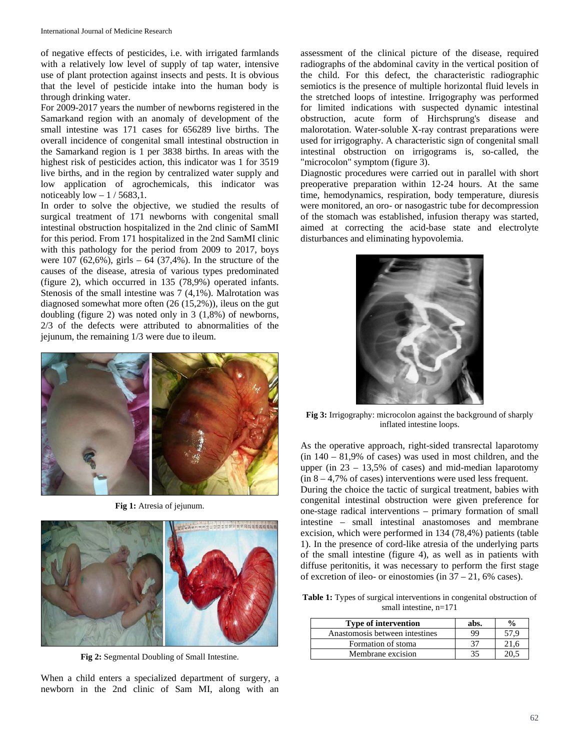of negative effects of pesticides, i.e. with irrigated farmlands with a relatively low level of supply of tap water, intensive use of plant protection against insects and pests. It is obvious that the level of pesticide intake into the human body is through drinking water.

For 2009-2017 years the number of newborns registered in the Samarkand region with an anomaly of development of the small intestine was 171 cases for 656289 live births. The overall incidence of congenital small intestinal obstruction in the Samarkand region is 1 per 3838 births. In areas with the highest risk of pesticides action, this indicator was 1 for 3519 live births, and in the region by centralized water supply and low application of agrochemicals, this indicator was noticeably low  $-1/5683,1$ .

In order to solve the objective, we studied the results of surgical treatment of 171 newborns with congenital small intestinal obstruction hospitalized in the 2nd clinic of SamMI for this period. From 171 hospitalized in the 2nd SamMI clinic with this pathology for the period from 2009 to 2017, boys were  $107$  (62,6%), girls – 64 (37,4%). In the structure of the causes of the disease, atresia of various types predominated (figure 2), which occurred in 135 (78,9%) operated infants. Stenosis of the small intestine was 7 (4,1%). Malrotation was diagnosed somewhat more often (26 (15,2%)), ileus on the gut doubling (figure 2) was noted only in 3 (1,8%) of newborns, 2/3 of the defects were attributed to abnormalities of the jejunum, the remaining 1/3 were due to ileum.



**Fig 1:** Atresia of jejunum.



**Fig 2:** Segmental Doubling of Small Intestine.

When a child enters a specialized department of surgery, a newborn in the 2nd clinic of Sam MI, along with an

assessment of the clinical picture of the disease, required radiographs of the abdominal cavity in the vertical position of the child. For this defect, the characteristic radiographic semiotics is the presence of multiple horizontal fluid levels in the stretched loops of intestine. Irrigography was performed for limited indications with suspected dynamic intestinal obstruction, acute form of Hirchsprung's disease and malorotation. Water-soluble X-ray contrast preparations were used for irrigography. A characteristic sign of congenital small intestinal obstruction on irrigograms is, so-called, the "microcolon" symptom (figure 3).

Diagnostic procedures were carried out in parallel with short preoperative preparation within 12-24 hours. At the same time, hemodynamics, respiration, body temperature, diuresis were monitored, an oro- or nasogastric tube for decompression of the stomach was established, infusion therapy was started, aimed at correcting the acid-base state and electrolyte disturbances and eliminating hypovolemia.



**Fig 3:** Irrigography: microcolon against the background of sharply inflated intestine loops.

As the operative approach, right-sided transrectal laparotomy  $(in 140 - 81,9% of cases)$  was used in most children, and the upper (in  $23 - 13,5\%$  of cases) and mid-median laparotomy  $(in 8 - 4.7\% \text{ of cases})$  interventions were used less frequent.

During the choice the tactic of surgical treatment, babies with congenital intestinal obstruction were given preference for one-stage radical interventions – primary formation of small intestine – small intestinal anastomoses and membrane excision, which were performed in 134 (78,4%) patients (table 1). In the presence of cord-like atresia of the underlying parts of the small intestine (figure 4), as well as in patients with diffuse peritonitis, it was necessary to perform the first stage of excretion of ileo- or einostomies (in 37 – 21, 6% cases).

**Table 1:** Types of surgical interventions in congenital obstruction of small intestine,  $n=171$ 

| <b>Type of intervention</b>    | abs. | $\frac{0}{0}$ |
|--------------------------------|------|---------------|
| Anastomosis between intestines | 99   | 57 Q          |
| Formation of stoma             |      | 21.6          |
| Membrane excision              |      |               |